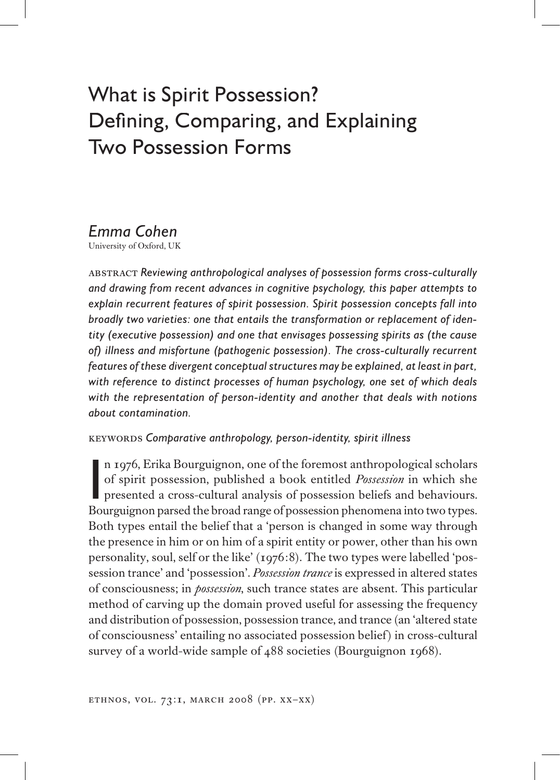# What is Spirit Possession? Defining, Comparing, and Explaining Two Possession Forms

# *Emma Cohen*

University of Oxford, UK

abstract *Reviewing anthropological analyses of possession forms cross-culturally and drawing from recent advances in cognitive psychology, this paper attempts to explain recurrent features of spirit possession. Spirit possession concepts fall into broadly two varieties: one that entails the transformation or replacement of identity (executive possession) and one that envisages possessing spirits as (the cause of) illness and misfortune (pathogenic possession). The cross-culturally recurrent features of these divergent conceptual structures may be explained, at least in part, with reference to distinct processes of human psychology, one set of which deals with the representation of person-identity and another that deals with notions about contamination.*

# keywords *Comparative anthropology, person-identity, spirit illness*

n 1976, Erika Bourguignon, one of the foremost anthropological scholars of spirit possession, published a book entitled *Possession* in which she presented a cross-cultural analysis of possession beliefs and behaviours.<br>Bo n 1976, Erika Bourguignon, one of the foremost anthropological scholars of spirit possession, published a book entitled *Possession* in which she presented a cross-cultural analysis of possession beliefs and behaviours. Both types entail the belief that a 'person is changed in some way through the presence in him or on him of a spirit entity or power, other than his own personality, soul, self or the like' (1976 : 8). The two types were labelled 'possession trance' and 'possession'. *Possession trance* is expressed in altered states of consciousness; in *possession*, such trance states are absent. This particular method of carving up the domain proved useful for assessing the frequency and distribution of possession, possession trance, and trance (an 'altered state of consciousness' entailing no associated possession belief ) in cross-cultural survey of a world-wide sample of 488 societies (Bourguignon 1968).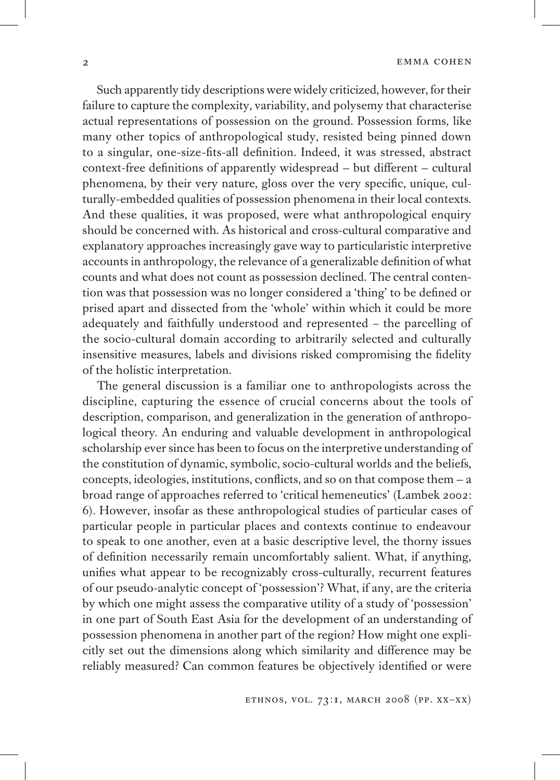Such apparently tidy descriptions were widely criticized, however, for their failure to capture the complexity, variability, and polysemy that characterise actual representations of possession on the ground. Possession forms, like many other topics of anthropological study, resisted being pinned down to a singular, one-size-fits-all definition. Indeed, it was stressed, abstract context-free definitions of apparently widespread  $-$  but different  $-$  cultural phenomena, by their very nature, gloss over the very specific, unique, culturally-embedded qualities of possession phenomena in their local contexts. And these qualities, it was proposed, were what anthropological enquiry should be concerned with. As historical and cross-cultural comparative and explanatory approaches increasingly gave way to particularistic interpretive accounts in anthropology, the relevance of a generalizable definition of what counts and what does not count as possession declined. The central contention was that possession was no longer considered a 'thing' to be defined or prised apart and dissected from the 'whole' within which it could be more adequately and faithfully understood and represented – the parcelling of the socio-cultural domain according to arbitrarily selected and culturally insensitive measures, labels and divisions risked compromising the fidelity of the holistic interpretation.

The general discussion is a familiar one to anthropologists across the discipline, capturing the essence of crucial concerns about the tools of description, comparison, and generalization in the generation of anthropological theory. An enduring and valuable development in anthropological scholarship ever since has been to focus on the interpretive understanding of the constitution of dynamic, symbolic, socio-cultural worlds and the beliefs, concepts, ideologies, institutions, conflicts, and so on that compose them  $- a$ broad range of approaches referred to 'critical hemeneutics' (Lambek 2002: 6). However, insofar as these anthropological studies of particular cases of particular people in particular places and contexts continue to endeavour to speak to one another, even at a basic descriptive level, the thorny issues of definition necessarily remain uncomfortably salient. What, if anything, unifies what appear to be recognizably cross-culturally, recurrent features of our pseudo-analytic concept of 'possession'? What, if any, are the criteria by which one might assess the comparative utility of a study of 'possession' in one part of South East Asia for the development of an understanding of possession phenomena in another part of the region? How might one explicitly set out the dimensions along which similarity and difference may be reliably measured? Can common features be objectively identified or were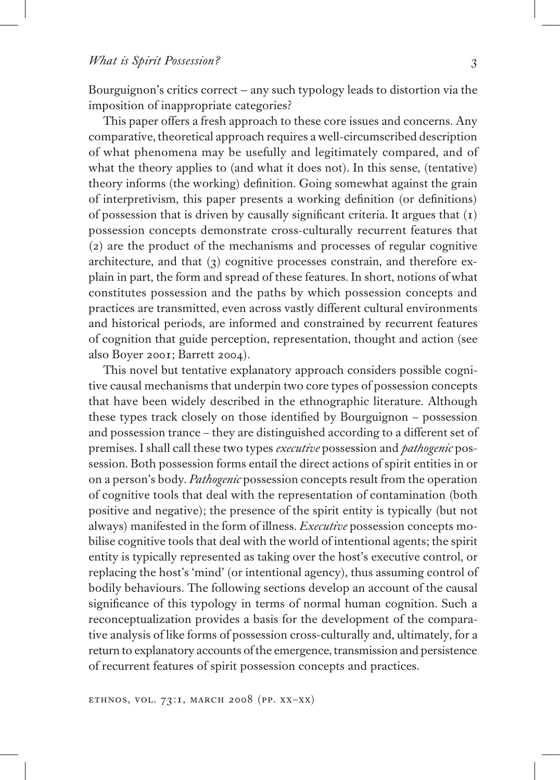Bourguignon's critics correct — any such typology leads to distortion via the imposition of inappropriate categories?

This paper offers a fresh approach to these core issues and concerns. Any comparative, theoretical approach requires a well-circumscribed description of what phenomena may be usefully and legitimately compared, and of what the theory applies to (and what it does not). In this sense, (tentative) theory informs (the working) definition. Going somewhat against the grain of interpretivism, this paper presents a working definition (or definitions) of possession that is driven by causally significant criteria. It argues that  $(r)$ possession concepts demonstrate cross-culturally recurrent features that (2) are the product of the mechanisms and processes of regular cognitive architecture, and that  $(3)$  cognitive processes constrain, and therefore explain in part, the form and spread of these features. In short, notions of what constitutes possession and the paths by which possession concepts and practices are transmitted, even across vastly different cultural environments and historical periods, are informed and constrained by recurrent features of cognition that guide perception, representation, thought and action (see also Boyer 2001; Barrett 2004).

This novel but tentative explanatory approach considers possible cognitive causal mechanisms that underpin two core types of possession concepts that have been widely described in the ethnographic literature. Although these types track closely on those identified by Bourguignon – possession and possession trance – they are distinguished according to a different set of premises. I shall call these two types *executive* possession and *pathogenic* possession. Both possession forms entail the direct actions of spirit entities in or on a person's body. *Pathogenic* possession concepts result from the operation of cognitive tools that deal with the representation of contamination (both positive and negative); the presence of the spirit entity is typically (but not always) manifested in the form of illness. *Executive* possession concepts mobilise cognitive tools that deal with the world of intentional agents; the spirit entity is typically represented as taking over the host's executive control, or replacing the host's 'mind' (or intentional agency), thus assuming control of bodily behaviours. The following sections develop an account of the causal significance of this typology in terms of normal human cognition. Such a reconceptualization provides a basis for the development of the comparative analysis of like forms of possession cross-culturally and, ultimately, for a return to explanatory accounts of the emergence, transmission and persistence of recurrent features of spirit possession concepts and practices.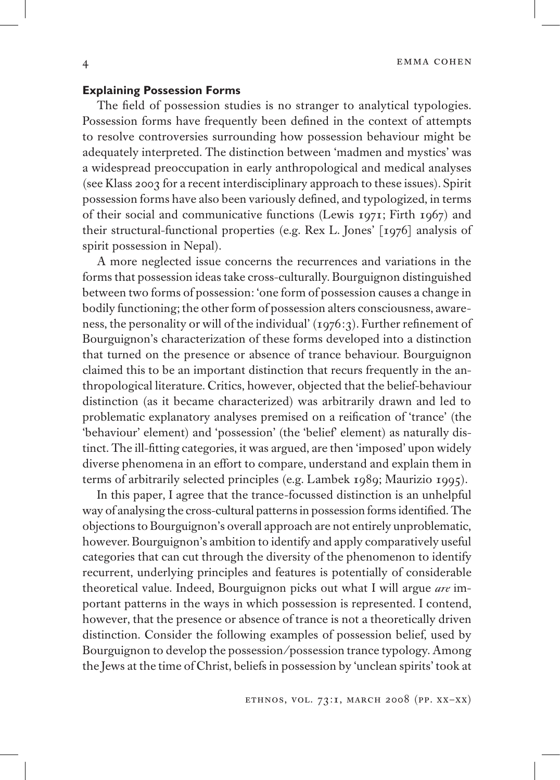#### **Explaining Possession Forms**

The field of possession studies is no stranger to analytical typologies. Possession forms have frequently been defined in the context of attempts to resolve controversies surrounding how possession behaviour might be adequately interpreted. The distinction between 'madmen and mystics' was a widespread preoccupation in early anthropological and medical analyses (see Klass 2003 for a recent interdisciplinary approach to these issues). Spirit possession forms have also been variously defined, and typologized, in terms of their social and communicative functions (Lewis 1971; Firth 1967) and their structural-functional properties (e.g. Rex L. Jones' [1976] analysis of spirit possession in Nepal).

A more neglected issue concerns the recurrences and variations in the forms that possession ideas take cross-culturally. Bourguignon distinguished between two forms of possession: 'one form of possession causes a change in bodily functioning; the other form of possession alters consciousness, awareness, the personality or will of the individual' (1976:3). Further refinement of Bourguignon's characterization of these forms developed into a distinction that turned on the presence or absence of trance behaviour. Bourguignon claimed this to be an important distinction that recurs frequently in the anthropological literature. Critics, however, objected that the belief-behaviour distinction (as it became characterized) was arbitrarily drawn and led to problematic explanatory analyses premised on a reification of 'trance' (the 'behaviour' element) and 'possession' (the 'belief' element) as naturally distinct. The ill-fitting categories, it was argued, are then 'imposed' upon widely diverse phenomena in an effort to compare, understand and explain them in terms of arbitrarily selected principles (e.g. Lambek 1989; Maurizio 1995).

In this paper, I agree that the trance-focussed distinction is an unhelpful way of analysing the cross-cultural patterns in possession forms identified. The objections to Bourguignon's overall approach are not entirely unproblematic, however. Bourguignon's ambition to identify and apply comparatively useful categories that can cut through the diversity of the phenomenon to identify recurrent, underlying principles and features is potentially of considerable theoretical value. Indeed, Bourguignon picks out what I will argue *are* important patterns in the ways in which possession is represented. I contend, however, that the presence or absence of trance is not a theoretically driven distinction. Consider the following examples of possession belief, used by Bourguignon to develop the possession/possession trance typology. Among the Jews at the time of Christ, beliefs in possession by 'unclean spirits' took at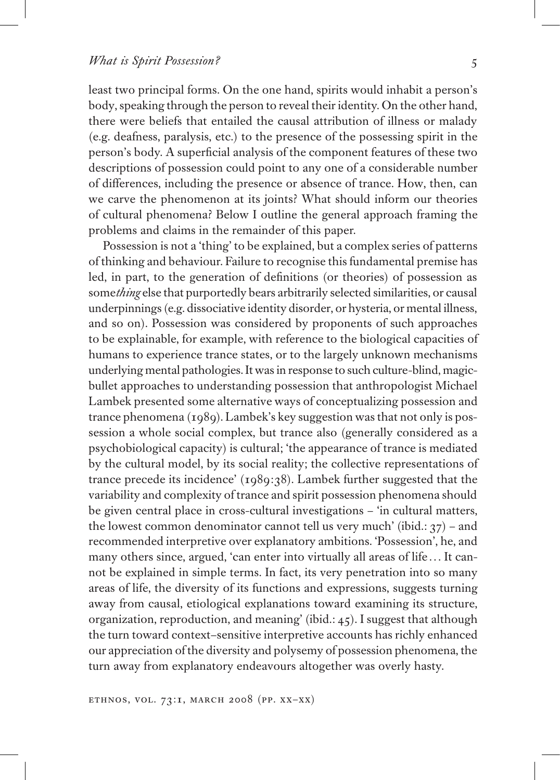# *What is Spirit Possession?* 5

least two principal forms. On the one hand, spirits would inhabit a person's body, speaking through the person to reveal their identity. On the other hand, there were beliefs that entailed the causal attribution of illness or malady (e.g. deafness, paralysis, etc.) to the presence of the possessing spirit in the person's body. A superficial analysis of the component features of these two descriptions of possession could point to any one of a considerable number of differences, including the presence or absence of trance. How, then, can we carve the phenomenon at its joints? What should inform our theories of cultural phenomena? Below I outline the general approach framing the problems and claims in the remainder of this paper.

Possession is not a 'thing' to be explained, but a complex series of patterns of thinking and behaviour. Failure to recognise this fundamental premise has led, in part, to the generation of definitions (or theories) of possession as some*thing* else that purportedly bears arbitrarily selected similarities, or causal underpinnings (e.g. dissociative identity disorder, or hysteria, or mental illness, and so on). Possession was considered by proponents of such approaches to be explainable, for example, with reference to the biological capacities of humans to experience trance states, or to the largely unknown mechanisms underlying mental pathologies. It was in response to such culture-blind, magicbullet approaches to understanding possession that anthropologist Michael Lambek presented some alternative ways of conceptualizing possession and trance phenomena (1989). Lambek's key suggestion was that not only is possession a whole social complex, but trance also (generally considered as a psychobiological capacity) is cultural; 'the appearance of trance is mediated by the cultural model, by its social reality; the collective representations of trance precede its incidence' (1989 : 38). Lambek further suggested that the variability and complexity of trance and spirit possession phenomena should be given central place in cross-cultural investigations – 'in cultural matters, the lowest common denominator cannot tell us very much' (ibid.:  $37$ ) – and recommended interpretive over explanatory ambitions. 'Possession', he, and many others since, argued, 'can enter into virtually all areas of life ... It cannot be explained in simple terms. In fact, its very penetration into so many areas of life, the diversity of its functions and expressions, suggests turning away from causal, etiological explanations toward examining its structure, organization, reproduction, and meaning' (ibid.: 45). I suggest that although the turn toward context–sensitive interpretive accounts has richly enhanced our appreciation of the diversity and polysemy of possession phenomena, the turn away from explanatory endeavours altogether was overly hasty.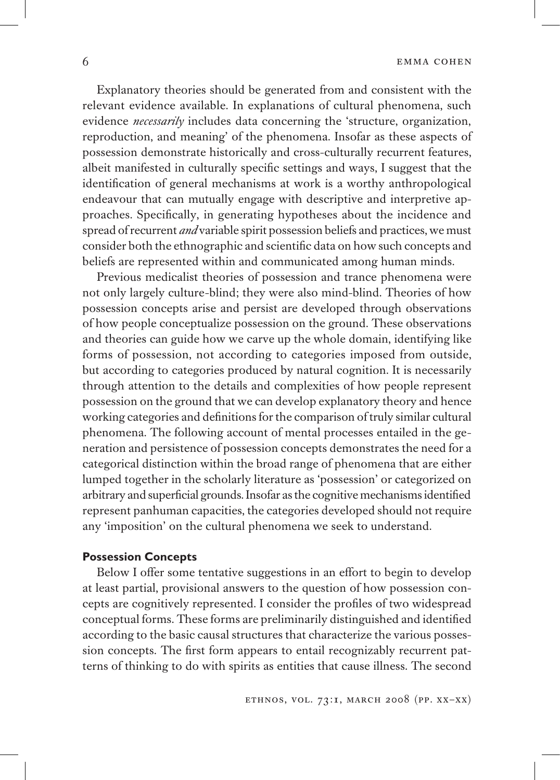Explanatory theories should be generated from and consistent with the relevant evidence available. In explanations of cultural phenomena, such evidence *necessarily* includes data concerning the 'structure, organization, reproduction, and meaning' of the phenomena. Insofar as these aspects of possession demonstrate historically and cross-culturally recurrent features, albeit manifested in culturally specific settings and ways, I suggest that the identification of general mechanisms at work is a worthy anthropological endeavour that can mutually engage with descriptive and interpretive approaches. Specifically, in generating hypotheses about the incidence and spread of recurrent *and* variable spirit possession beliefs and practices, we must consider both the ethnographic and scientific data on how such concepts and beliefs are represented within and communicated among human minds.

Previous medicalist theories of possession and trance phenomena were not only largely culture-blind; they were also mind-blind. Theories of how possession concepts arise and persist are developed through observations of how people conceptualize possession on the ground. These observations and theories can guide how we carve up the whole domain, identifying like forms of possession, not according to categories imposed from outside, but according to categories produced by natural cognition. It is necessarily through attention to the details and complexities of how people represent possession on the ground that we can develop explanatory theory and hence working categories and definitions for the comparison of truly similar cultural phenomena. The following account of mental processes entailed in the generation and persistence of possession concepts demonstrates the need for a categorical distinction within the broad range of phenomena that are either lumped together in the scholarly literature as 'possession' or categorized on arbitrary and superficial grounds. Insofar as the cognitive mechanisms identified represent panhuman capacities, the categories developed should not require any 'imposition' on the cultural phenomena we seek to understand.

# **Possession Concepts**

Below I offer some tentative suggestions in an effort to begin to develop at least partial, provisional answers to the question of how possession concepts are cognitively represented. I consider the profiles of two widespread conceptual forms. These forms are preliminarily distinguished and identified according to the basic causal structures that characterize the various possession concepts. The first form appears to entail recognizably recurrent patterns of thinking to do with spirits as entities that cause illness. The second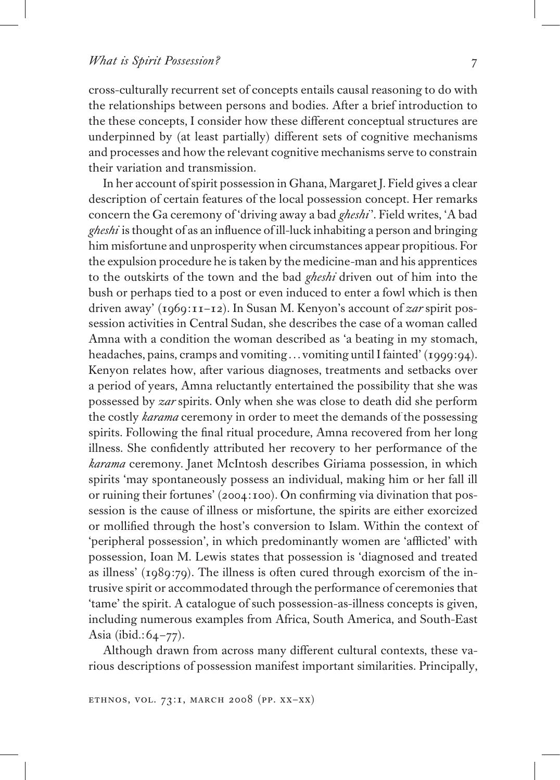# *What is Spirit Possession?* 7

cross-culturally recurrent set of concepts entails causal reasoning to do with the relationships between persons and bodies. After a brief introduction to the these concepts, I consider how these different conceptual structures are underpinned by (at least partially) different sets of cognitive mechanisms and processes and how the relevant cognitive mechanisms serve to constrain their variation and transmission.

In her account of spirit possession in Ghana, Margaret J. Field gives a clear description of certain features of the local possession concept. Her remarks concern the Ga ceremony of 'driving away a bad *gheshi* '. Field writes, 'A bad gheshi is thought of as an influence of ill-luck inhabiting a person and bringing him misfortune and unprosperity when circumstances appear propitious. For the expulsion procedure he is taken by the medicine-man and his apprentices to the outskirts of the town and the bad *gheshi*ldriven out of him into the bush or perhaps tied to a post or even induced to enter a fowl which is then driven away' (1969:11–12). In Susan M. Kenyon's account of *zar* spirit possession activities in Central Sudan, she describes the case of a woman called Amna with a condition the woman described as 'a beating in my stomach, headaches, pains, cramps and vomiting ... vomiting until I fainted' (1999:94). Kenyon relates how, after various diagnoses, treatments and setbacks over a period of years, Amna reluctantly entertained the possibility that she was possessed by *zar* spirits. Only when she was close to death did she perform the costly *karama* ceremony in order to meet the demands of the possessing spirits. Following the final ritual procedure, Amna recovered from her long illness. She confidently attributed her recovery to her performance of the *karama* ceremony. Janet McIntosh describes Giriama possession, in which spirits 'may spontaneously possess an individual, making him or her fall ill or ruining their fortunes' ( $2004:100$ ). On confirming via divination that possession is the cause of illness or misfortune, the spirits are either exorcized or mollified through the host's conversion to Islam. Within the context of 'peripheral possession', in which predominantly women are 'afflicted' with possession, Ioan M. Lewis states that possession is 'diagnosed and treated as illness' (1989 :79). The illness is often cured through exorcism of the intrusive spirit or accommodated through the performance of ceremonies that 'tame' the spirit. A catalogue of such possession-as-illness concepts is given, including numerous examples from Africa, South America, and South-East Asia (ibid.: 64 –77).

Although drawn from across many different cultural contexts, these various descriptions of possession manifest important similarities. Principally,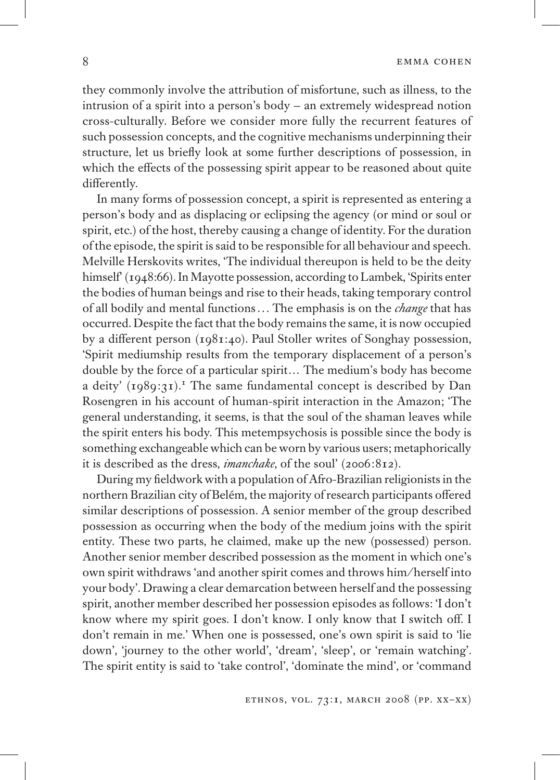they commonly involve the attribution of misfortune, such as illness, to the intrusion of a spirit into a person's body — an extremely widespread notion cross-culturally. Before we consider more fully the recurrent features of such possession concepts, and the cognitive mechanisms underpinning their structure, let us briefly look at some further descriptions of possession, in which the effects of the possessing spirit appear to be reasoned about quite differently.

In many forms of possession concept, a spirit is represented as entering a person's body and as displacing or eclipsing the agency (or mind or soul or spirit, etc.) of the host, thereby causing a change of identity. For the duration of the episode, the spirit is said to be responsible for all behaviour and speech. Melville Herskovits writes, 'The individual thereupon is held to be the deity himself (1948:66). In Mayotte possession, according to Lambek, 'Spirits enter the bodies of human beings and rise to their heads, taking temporary control of all bodily and mental functions . . . The emphasis is on the *change* that has that has occurred. Despite the fact that the body remains the same, it is now occupied by a different person (1981:40). Paul Stoller writes of Songhay possession, 'Spirit mediumship results from the temporary displacement of a person's double by the force of a particular spirit… The medium's body has become a deity' (1989:31).<sup>1</sup> The same fundamental concept is described by Dan Rosengren in his account of human-spirit interaction in the Amazon; 'The general understanding, it seems, is that the soul of the shaman leaves while the spirit enters his body. This metempsychosis is possible since the body is something exchangeable which can be worn by various users; metaphorically it is described as the dress, *imanchake*, of the soul' (2006:812).

During my fieldwork with a population of Afro-Brazilian religionists in the northern Brazilian city of Belém, the majority of research participants offered similar descriptions of possession. A senior member of the group described possession as occurring when the body of the medium joins with the spirit entity. These two parts, he claimed, make up the new (possessed) person. Another senior member described possession as the moment in which one's own spirit withdraws 'and another spirit comes and throws him/herself into your body'. Drawing a clear demarcation between herself and the possessing spirit, another member described her possession episodes as follows: 'I don't know where my spirit goes. I don't know. I only know that I switch off. I don't remain in me.' When one is possessed, one's own spirit is said to 'lie down', 'journey to the other world', 'dream', 'sleep', or 'remain watching'. The spirit entity is said to 'take control', 'dominate the mind', or 'command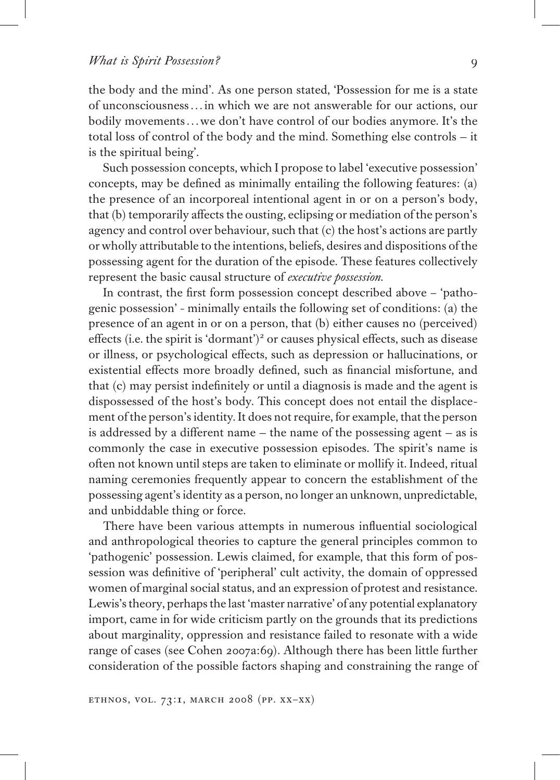# *What is Spirit Possession?* 9

the body and the mind'. As one person stated, 'Possession for me is a state of unconsciousness . . . in which we are not answerable for our actions, our bodily movements . . . we don't have control of our bodies anymore. It's the total loss of control of the body and the mind. Something else controls — it is the spiritual being'.

Such possession concepts, which I propose to label 'executive possession' concepts, may be defined as minimally entailing the following features: (a) the presence of an incorporeal intentional agent in or on a person's body, that (b) temporarily affects the ousting, eclipsing or mediation of the person's agency and control over behaviour, such that (c) the host's actions are partly or wholly attributable to the intentions, beliefs, desires and dispositions of the possessing agent for the duration of the episode. These features collectively represent the basic causal structure of *executive possession*.

In contrast, the first form possession concept described above – 'pathogenic possession' - minimally entails the following set of conditions: (a) the presence of an agent in or on a person, that (b) either causes no (perceived) effects (i.e. the spirit is 'dormant')<sup>2</sup> or causes physical effects, such as disease or illness, or psychological effects, such as depression or hallucinations, or existential effects more broadly defined, such as financial misfortune, and that (c) may persist indefinitely or until a diagnosis is made and the agent is dispossessed of the host's body. This concept does not entail the displacement of the person's identity. It does not require, for example, that the person is addressed by a different name  $-$  the name of the possessing agent  $-$  as is commonly the case in executive possession episodes. The spirit's name is often not known until steps are taken to eliminate or mollify it. Indeed, ritual naming ceremonies frequently appear to concern the establishment of the possessing agent's identity as a person, no longer an unknown, unpredictable, and unbiddable thing or force.

There have been various attempts in numerous influential sociological and anthropological theories to capture the general principles common to 'pathogenic' possession. Lewis claimed, for example, that this form of possession was definitive of 'peripheral' cult activity, the domain of oppressed women of marginal social status, and an expression of protest and resistance. Lewis's theory, perhaps the last 'master narrative' of any potential explanatory import, came in for wide criticism partly on the grounds that its predictions about marginality, oppression and resistance failed to resonate with a wide range of cases (see Cohen 2007a:69). Although there has been little further consideration of the possible factors shaping and constraining the range of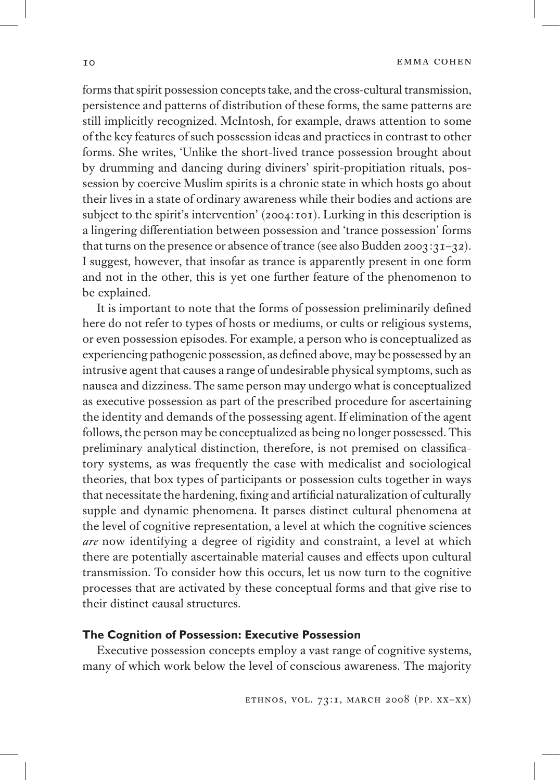forms that spirit possession concepts take, and the cross-cultural transmission, persistence and patterns of distribution of these forms, the same patterns are still implicitly recognized. McIntosh, for example, draws attention to some of the key features of such possession ideas and practices in contrast to other forms. She writes, 'Unlike the short-lived trance possession brought about by drumming and dancing during diviners' spirit-propitiation rituals, possession by coercive Muslim spirits is a chronic state in which hosts go about their lives in a state of ordinary awareness while their bodies and actions are subject to the spirit's intervention' (2004: 101). Lurking in this description is a lingering differentiation between possession and 'trance possession' forms that turns on the presence or absence of trance (see also Budden 2003:31-32). I suggest, however, that insofar as trance is apparently present in one form and not in the other, this is yet one further feature of the phenomenon to be explained.

It is important to note that the forms of possession preliminarily defined here do not refer to types of hosts or mediums, or cults or religious systems, or even possession episodes. For example, a person who is conceptualized as experiencing pathogenic possession, as defined above, may be possessed by an intrusive agent that causes a range of undesirable physical symptoms, such as nausea and dizziness. The same person may undergo what is conceptualized as executive possession as part of the prescribed procedure for ascertaining the identity and demands of the possessing agent. If elimination of the agent follows, the person may be conceptualized as being no longer possessed. This preliminary analytical distinction, therefore, is not premised on classificatory systems, as was frequently the case with medicalist and sociological theories, that box types of participants or possession cults together in ways that necessitate the hardening, fixing and artificial naturalization of culturally supple and dynamic phenomena. It parses distinct cultural phenomena at the level of cognitive representation, a level at which the cognitive sciences *are* now identifying a degree of rigidity and constraint, a level at which there are potentially ascertainable material causes and effects upon cultural transmission. To consider how this occurs, let us now turn to the cognitive processes that are activated by these conceptual forms and that give rise to their distinct causal structures.

#### **The Cognition of Possession: Executive Possession**

Executive possession concepts employ a vast range of cognitive systems, many of which work below the level of conscious awareness. The majority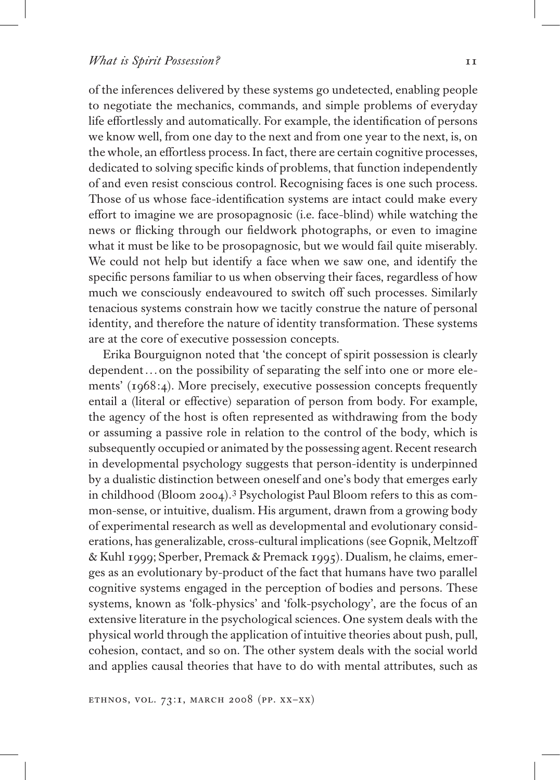of the inferences delivered by these systems go undetected, enabling people to negotiate the mechanics, commands, and simple problems of everyday life effortlessly and automatically. For example, the identification of persons we know well, from one day to the next and from one year to the next, is, on the whole, an effortless process. In fact, there are certain cognitive processes, dedicated to solving specific kinds of problems, that function independently of and even resist conscious control. Recognising faces is one such process. Those of us whose face-identification systems are intact could make every effort to imagine we are prosopagnosic (i.e. face-blind) while watching the news or flicking through our fieldwork photographs, or even to imagine what it must be like to be prosopagnosic, but we would fail quite miserably. We could not help but identify a face when we saw one, and identify the specific persons familiar to us when observing their faces, regardless of how much we consciously endeavoured to switch off such processes. Similarly tenacious systems constrain how we tacitly construe the nature of personal identity, and therefore the nature of identity transformation. These systems are at the core of executive possession concepts.

Erika Bourguignon noted that 'the concept of spirit possession is clearly dependent...on the possibility of separating the self into one or more elements'  $(1968:4)$ . More precisely, executive possession concepts frequently entail a (literal or effective) separation of person from body. For example, the agency of the host is often represented as withdrawing from the body or assuming a passive role in relation to the control of the body, which is subsequently occupied or animated by the possessing agent. Recent research in developmental psychology suggests that person-identity is underpinned by a dualistic distinction between oneself and one's body that emerges early in childhood (Bloom 2004).<sup>3</sup> Psychologist Paul Bloom refers to this as common-sense, or intuitive, dualism. His argument, drawn from a growing body of experimental research as well as developmental and evolutionary considerations, has generalizable, cross-cultural implications (see Gopnik, Meltzoff & Kuhl 1999; Sperber, Premack & Premack 1995). Dualism, he claims, emerges as an evolutionary by-product of the fact that humans have two parallel cognitive systems engaged in the perception of bodies and persons. These systems, known as 'folk-physics' and 'folk-psychology', are the focus of an extensive literature in the psychological sciences. One system deals with the physical world through the application of intuitive theories about push, pull, cohesion, contact, and so on. The other system deals with the social world and applies causal theories that have to do with mental attributes, such as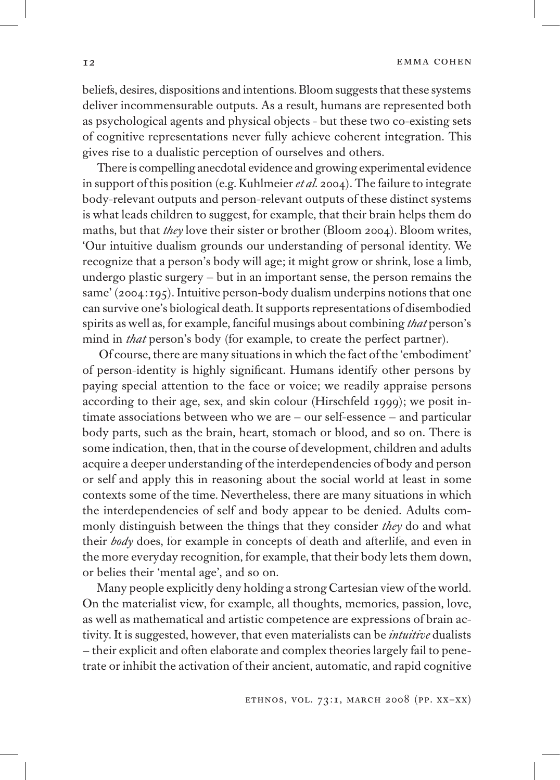beliefs, desires, dispositions and intentions. Bloom suggests that these systems deliver incommensurable outputs. As a result, humans are represented both as psychological agents and physical objects - but these two co-existing sets of cognitive representations never fully achieve coherent integration. This gives rise to a dualistic perception of ourselves and others.

There is compelling anecdotal evidence and growing experimental evidence in support of this position (e.g. Kuhlmeier *et al.* 2004). The failure to integrate body-relevant outputs and person-relevant outputs of these distinct systems is what leads children to suggest, for example, that their brain helps them do maths, but that *they* love their sister or brother (Bloom 2004). Bloom writes, 'Our intuitive dualism grounds our understanding of personal identity. We recognize that a person's body will age; it might grow or shrink, lose a limb, undergo plastic surgery — but in an important sense, the person remains the same' (2004:195). Intuitive person-body dualism underpins notions that one can survive one's biological death. It supports representations of disembodied spirits as well as, for example, fanciful musings about combining *that* person's mind in *that* person's body (for example, to create the perfect partner).

 Of course, there are many situations in which the fact of the 'embodiment' of person-identity is highly significant. Humans identify other persons by paying special attention to the face or voice; we readily appraise persons according to their age, sex, and skin colour (Hirschfeld 1999); we posit intimate associations between who we are — our self-essence — and particular body parts, such as the brain, heart, stomach or blood, and so on. There is some indication, then, that in the course of development, children and adults acquire a deeper understanding of the interdependencies of body and person or self and apply this in reasoning about the social world at least in some contexts some of the time. Nevertheless, there are many situations in which the interdependencies of self and body appear to be denied. Adults commonly distinguish between the things that they consider *they* do and what their *body* does, for example in concepts of death and afterlife, and even in the more everyday recognition, for example, that their body lets them down, or belies their 'mental age', and so on.

Many people explicitly deny holding a strong Cartesian view of the world. On the materialist view, for example, all thoughts, memories, passion, love, as well as mathematical and artistic competence are expressions of brain activity. It is suggested, however, that even materialists can be *intuitive* dualists — their explicit and often elaborate and complex theories largely fail to penetrate or inhibit the activation of their ancient, automatic, and rapid cognitive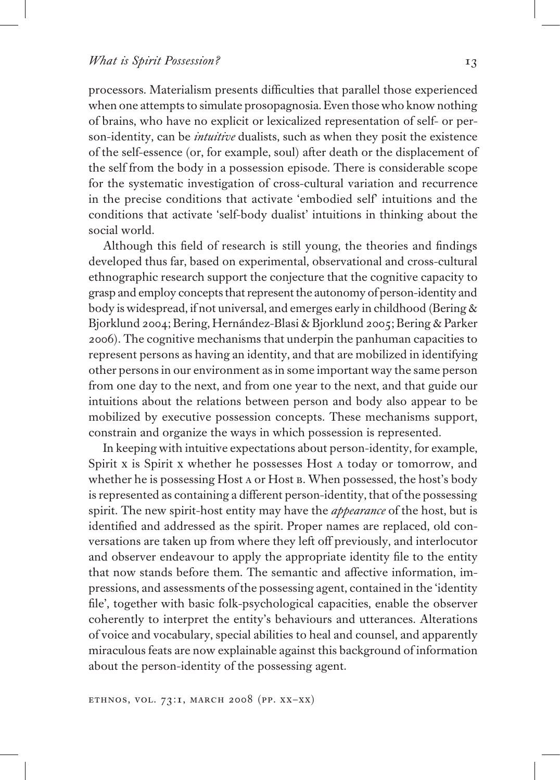processors. Materialism presents difficulties that parallel those experienced when one attempts to simulate prosopagnosia. Even those who know nothing of brains, who have no explicit or lexicalized representation of self- or person-identity, can be *intuitive* dualists, such as when they posit the existence of the self-essence (or, for example, soul) after death or the displacement of the self from the body in a possession episode. There is considerable scope for the systematic investigation of cross-cultural variation and recurrence in the precise conditions that activate 'embodied self' intuitions and the conditions that activate 'self-body dualist' intuitions in thinking about the social world.

Although this field of research is still young, the theories and findings developed thus far, based on experimental, observational and cross-cultural ethnographic research support the conjecture that the cognitive capacity to grasp and employ concepts that represent the autonomy of person-identity and body is widespread, if not universal, and emerges early in childhood (Bering & Bjorklund 2004; Bering, Hernández-Blasi & Bjorklund 2005; Bering & Parker 2006). The cognitive mechanisms that underpin the panhuman capacities to represent persons as having an identity, and that are mobilized in identifying other persons in our environment as in some important way the same person from one day to the next, and from one year to the next, and that guide our intuitions about the relations between person and body also appear to be mobilized by executive possession concepts. These mechanisms support, constrain and organize the ways in which possession is represented.

In keeping with intuitive expectations about person-identity, for example, Spirit x is Spirit x whether he possesses Host a today or tomorrow, and whether he is possessing Host A or Host B. When possessed, the host's body is represented as containing a different person-identity, that of the possessing spirit. The new spirit-host entity may have the *appearance* of the host, but is identified and addressed as the spirit. Proper names are replaced, old conversations are taken up from where they left off previously, and interlocutor and observer endeavour to apply the appropriate identity file to the entity that now stands before them. The semantic and affective information, impressions, and assessments of the possessing agent, contained in the 'identity file', together with basic folk-psychological capacities, enable the observer coherently to interpret the entity's behaviours and utterances. Alterations of voice and vocabulary, special abilities to heal and counsel, and apparently miraculous feats are now explainable against this background of information about the person-identity of the possessing agent.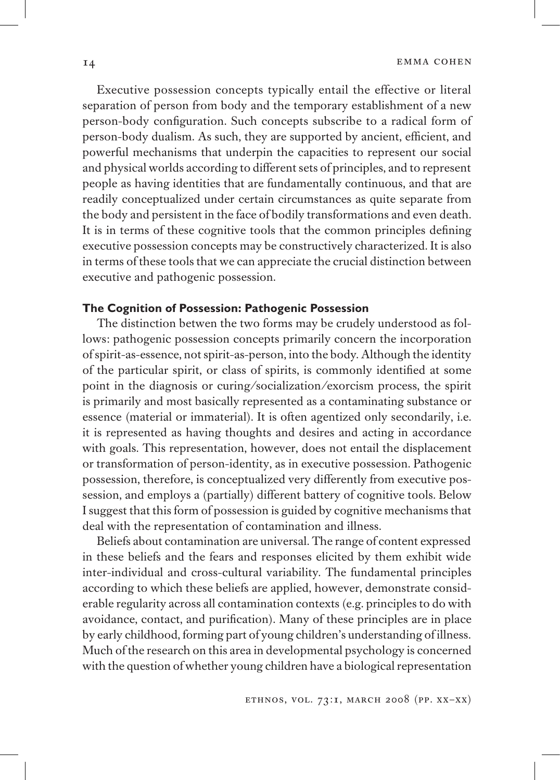Executive possession concepts typically entail the effective or literal separation of person from body and the temporary establishment of a new person-body configuration. Such concepts subscribe to a radical form of person-body dualism. As such, they are supported by ancient, efficient, and powerful mechanisms that underpin the capacities to represent our social and physical worlds according to different sets of principles, and to represent people as having identities that are fundamentally continuous, and that are readily conceptualized under certain circumstances as quite separate from the body and persistent in the face of bodily transformations and even death. It is in terms of these cognitive tools that the common principles defining executive possession concepts may be constructively characterized. It is also in terms of these tools that we can appreciate the crucial distinction between executive and pathogenic possession.

# **The Cognition of Possession: Pathogenic Possession**

The distinction betwen the two forms may be crudely understood as follows: pathogenic possession concepts primarily concern the incorporation of spirit-as-essence, not spirit-as-person, into the body. Although the identity of the particular spirit, or class of spirits, is commonly identified at some point in the diagnosis or curing/socialization/exorcism process, the spirit is primarily and most basically represented as a contaminating substance or essence (material or immaterial). It is often agentized only secondarily, i.e. it is represented as having thoughts and desires and acting in accordance with goals. This representation, however, does not entail the displacement or transformation of person-identity, as in executive possession. Pathogenic possession, therefore, is conceptualized very differently from executive possession, and employs a (partially) different battery of cognitive tools. Below I suggest that this form of possession is guided by cognitive mechanisms that deal with the representation of contamination and illness.

Beliefs about contamination are universal. The range of content expressed in these beliefs and the fears and responses elicited by them exhibit wide inter-individual and cross-cultural variability. The fundamental principles according to which these beliefs are applied, however, demonstrate considerable regularity across all contamination contexts (e.g. principles to do with avoidance, contact, and purification). Many of these principles are in place by early childhood, forming part of young children's understanding of illness. Much of the research on this area in developmental psychology is concerned with the question of whether young children have a biological representation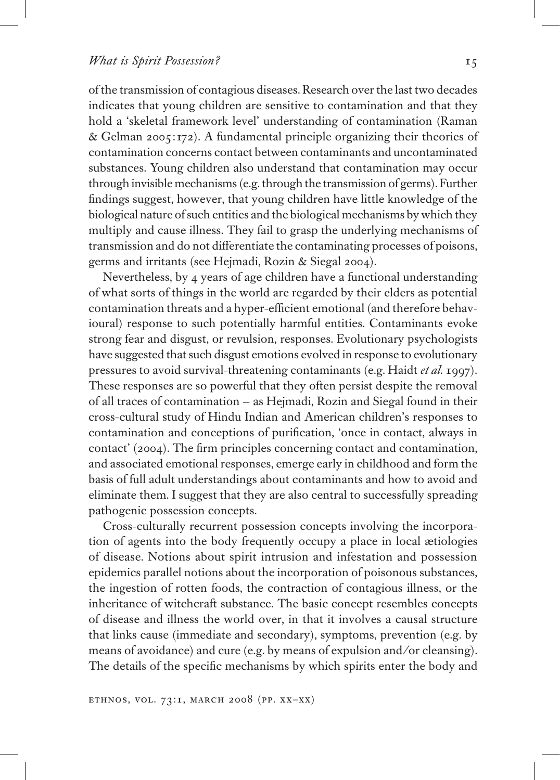of the transmission of contagious diseases. Research over the last two decades indicates that young children are sensitive to contamination and that they hold a 'skeletal framework level' understanding of contamination (Raman & Gelman 2005 : 172). A fundamental principle organizing their theories of contamination concerns contact between contaminants and uncontaminated substances. Young children also understand that contamination may occur through invisible mechanisms (e.g. through the transmission of germs). Further findings suggest, however, that young children have little knowledge of the biological nature of such entities and the biological mechanisms by which they multiply and cause illness. They fail to grasp the underlying mechanisms of transmission and do not differentiate the contaminating processes of poisons, germs and irritants (see Hejmadi, Rozin & Siegal 2004).

Nevertheless, by 4 years of age children have a functional understanding of what sorts of things in the world are regarded by their elders as potential contamination threats and a hyper-efficient emotional (and therefore behavioural) response to such potentially harmful entities. Contaminants evoke strong fear and disgust, or revulsion, responses. Evolutionary psychologists have suggested that such disgust emotions evolved in response to evolutionary pressures to avoid survival-threatening contaminants (e.g. Haidt *et al.* 1997). These responses are so powerful that they often persist despite the removal of all traces of contamination — as Hejmadi, Rozin and Siegal found in their cross-cultural study of Hindu Indian and American children's responses to contamination and conceptions of purification, 'once in contact, always in contact' (2004). The firm principles concerning contact and contamination, and associated emotional responses, emerge early in childhood and form the basis of full adult understandings about contaminants and how to avoid and eliminate them. I suggest that they are also central to successfully spreading pathogenic possession concepts.

Cross-culturally recurrent possession concepts involving the incorporation of agents into the body frequently occupy a place in local ætiologies of disease. Notions about spirit intrusion and infestation and possession epidemics parallel notions about the incorporation of poisonous substances, the ingestion of rotten foods, the contraction of contagious illness, or the inheritance of witchcraft substance. The basic concept resembles concepts of disease and illness the world over, in that it involves a causal structure that links cause (immediate and secondary), symptoms, prevention (e.g. by means of avoidance) and cure (e.g. by means of expulsion and/or cleansing). The details of the specific mechanisms by which spirits enter the body and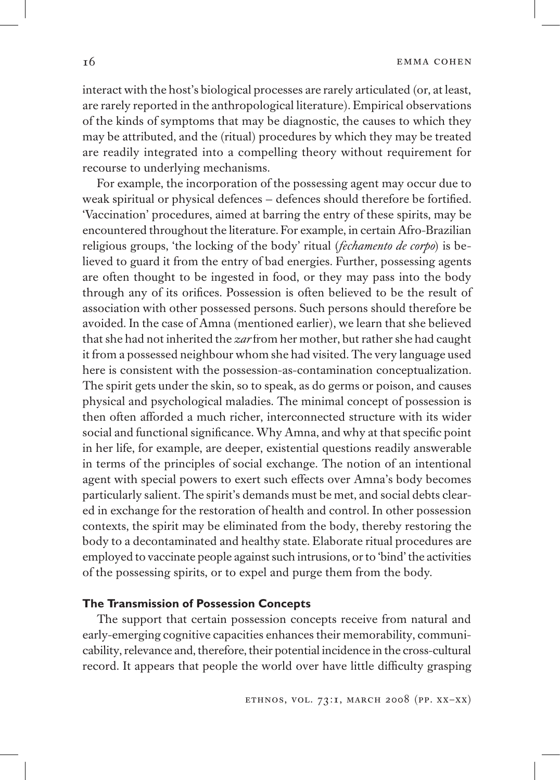interact with the host's biological processes are rarely articulated (or, at least, are rarely reported in the anthropological literature). Empirical observations of the kinds of symptoms that may be diagnostic, the causes to which they may be attributed, and the (ritual) procedures by which they may be treated are readily integrated into a compelling theory without requirement for recourse to underlying mechanisms.

For example, the incorporation of the possessing agent may occur due to weak spiritual or physical defences – defences should therefore be fortified. 'Vaccination' procedures, aimed at barring the entry of these spirits, may be encountered throughout the literature. For example, in certain Afro-Brazilian religious groups, 'the locking of the body' ritual (*fechamento de corpo*) is believed to guard it from the entry of bad energies. Further, possessing agents are often thought to be ingested in food, or they may pass into the body through any of its orifices. Possession is often believed to be the result of association with other possessed persons. Such persons should therefore be avoided. In the case of Amna (mentioned earlier), we learn that she believed that she had not inherited the *zar* from her mother, but rather she had caught it from a possessed neighbour whom she had visited. The very language used here is consistent with the possession-as-contamination conceptualization. The spirit gets under the skin, so to speak, as do germs or poison, and causes physical and psychological maladies. The minimal concept of possession is then often afforded a much richer, interconnected structure with its wider social and functional significance. Why Amna, and why at that specific point in her life, for example, are deeper, existential questions readily answerable in terms of the principles of social exchange. The notion of an intentional agent with special powers to exert such effects over Amna's body becomes particularly salient. The spirit's demands must be met, and social debts cleared in exchange for the restoration of health and control. In other possession contexts, the spirit may be eliminated from the body, thereby restoring the body to a decontaminated and healthy state. Elaborate ritual procedures are employed to vaccinate people against such intrusions, or to 'bind' the activities of the possessing spirits, or to expel and purge them from the body.

#### **The Transmission of Possession Concepts**

The support that certain possession concepts receive from natural and early-emerging cognitive capacities enhances their memorability, communicability, relevance and, therefore, their potential incidence in the cross-cultural record. It appears that people the world over have little difficulty grasping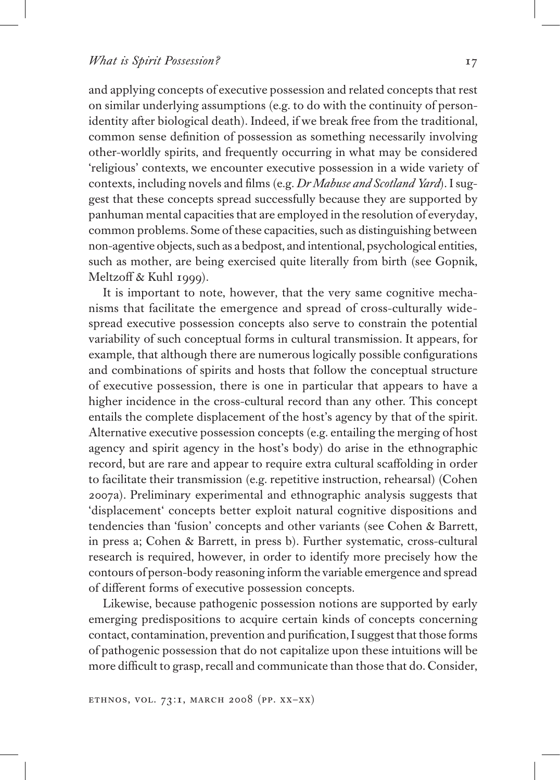and applying concepts of executive possession and related concepts that rest on similar underlying assumptions (e.g. to do with the continuity of personidentity after biological death). Indeed, if we break free from the traditional, common sense definition of possession as something necessarily involving other-worldly spirits, and frequently occurring in what may be considered 'religious' contexts, we encounter executive possession in a wide variety of contexts, including novels and films (e.g. *Dr Mabuse and Scotland Yard*). I suggest that these concepts spread successfully because they are supported by panhuman mental capacities that are employed in the resolution of everyday, common problems. Some of these capacities, such as distinguishing between non-agentive objects, such as a bedpost, and intentional, psychological entities, such as mother, are being exercised quite literally from birth (see Gopnik, Meltzoff & Kuhl 1999).

It is important to note, however, that the very same cognitive mechanisms that facilitate the emergence and spread of cross-culturally widespread executive possession concepts also serve to constrain the potential variability of such conceptual forms in cultural transmission. It appears, for example, that although there are numerous logically possible configurations and combinations of spirits and hosts that follow the conceptual structure of executive possession, there is one in particular that appears to have a higher incidence in the cross-cultural record than any other. This concept entails the complete displacement of the host's agency by that of the spirit. Alternative executive possession concepts (e.g. entailing the merging of host agency and spirit agency in the host's body) do arise in the ethnographic record, but are rare and appear to require extra cultural scaffolding in order to facilitate their transmission (e.g. repetitive instruction, rehearsal) (Cohen 2007a). Preliminary experimental and ethnographic analysis suggests that 'displacement' concepts better exploit natural cognitive dispositions and tendencies than 'fusion' concepts and other variants (see Cohen & Barrett, in press a; Cohen & Barrett, in press b). Further systematic, cross-cultural research is required, however, in order to identify more precisely how the contours of person-body reasoning inform the variable emergence and spread of different forms of executive possession concepts.

Likewise, because pathogenic possession notions are supported by early emerging predispositions to acquire certain kinds of concepts concerning contact, contamination, prevention and purification, I suggest that those forms of pathogenic possession that do not capitalize upon these intuitions will be more difficult to grasp, recall and communicate than those that do. Consider,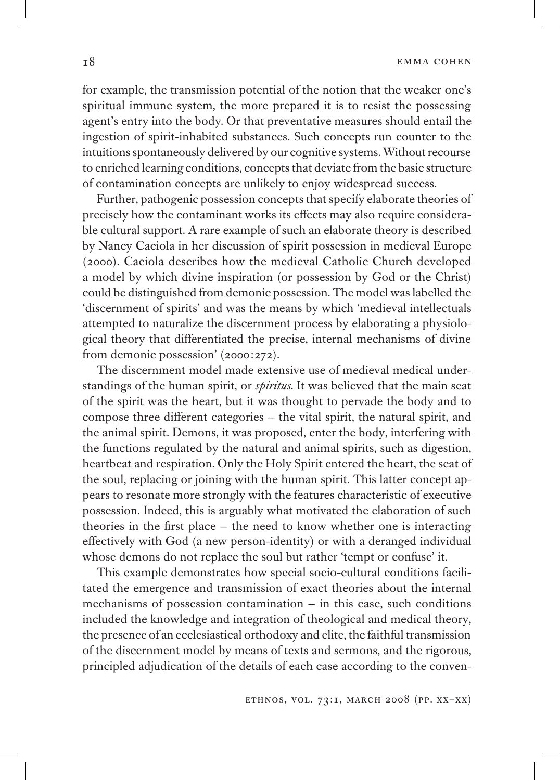for example, the transmission potential of the notion that the weaker one's spiritual immune system, the more prepared it is to resist the possessing agent's entry into the body. Or that preventative measures should entail the ingestion of spirit-inhabited substances. Such concepts run counter to the intuitions spontaneously delivered by our cognitive systems. Without recourse to enriched learning conditions, concepts that deviate from the basic structure of contamination concepts are unlikely to enjoy widespread success.

Further, pathogenic possession concepts that specify elaborate theories of precisely how the contaminant works its effects may also require considerable cultural support. A rare example of such an elaborate theory is described by Nancy Caciola in her discussion of spirit possession in medieval Europe (2000). Caciola describes how the medieval Catholic Church developed a model by which divine inspiration (or possession by God or the Christ) could be distinguished from demonic possession. The model was labelled the 'discernment of spirits' and was the means by which 'medieval intellectuals attempted to naturalize the discernment process by elaborating a physiological theory that differentiated the precise, internal mechanisms of divine from demonic possession'  $(2000:272)$ .

The discernment model made extensive use of medieval medical understandings of the human spirit, or *spiritus*. It was believed that the main seat of the spirit was the heart, but it was thought to pervade the body and to compose three different categories — the vital spirit, the natural spirit, and the animal spirit. Demons, it was proposed, enter the body, interfering with the functions regulated by the natural and animal spirits, such as digestion, heartbeat and respiration. Only the Holy Spirit entered the heart, the seat of the soul, replacing or joining with the human spirit. This latter concept appears to resonate more strongly with the features characteristic of executive possession. Indeed, this is arguably what motivated the elaboration of such theories in the first place  $-$  the need to know whether one is interacting effectively with God (a new person-identity) or with a deranged individual whose demons do not replace the soul but rather 'tempt or confuse' it.

This example demonstrates how special socio-cultural conditions facilitated the emergence and transmission of exact theories about the internal mechanisms of possession contamination — in this case, such conditions included the knowledge and integration of theological and medical theory, the presence of an ecclesiastical orthodoxy and elite, the faithful transmission of the discernment model by means of texts and sermons, and the rigorous, principled adjudication of the details of each case according to the conven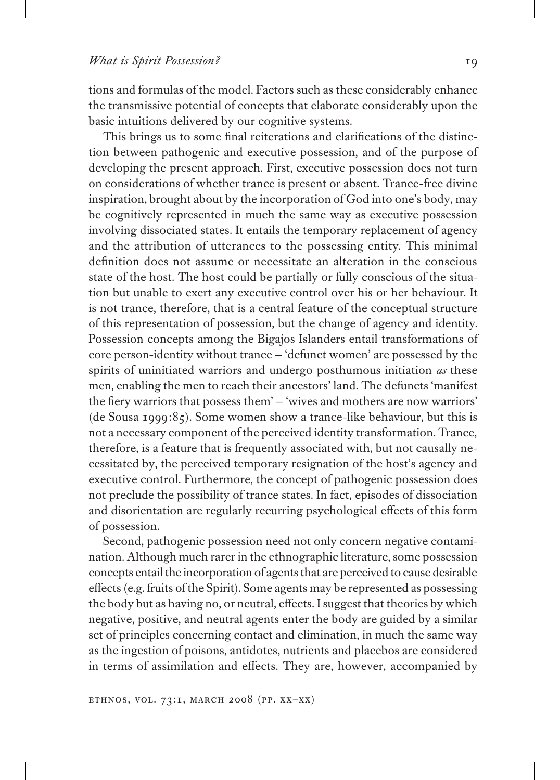tions and formulas of the model. Factors such as these considerably enhance the transmissive potential of concepts that elaborate considerably upon the basic intuitions delivered by our cognitive systems.

This brings us to some final reiterations and clarifications of the distinction between pathogenic and executive possession, and of the purpose of developing the present approach. First, executive possession does not turn on considerations of whether trance is present or absent. Trance-free divine inspiration, brought about by the incorporation of God into one's body, may be cognitively represented in much the same way as executive possession involving dissociated states. It entails the temporary replacement of agency and the attribution of utterances to the possessing entity. This minimal definition does not assume or necessitate an alteration in the conscious state of the host. The host could be partially or fully conscious of the situation but unable to exert any executive control over his or her behaviour. It is not trance, therefore, that is a central feature of the conceptual structure of this representation of possession, but the change of agency and identity. Possession concepts among the Bigajos Islanders entail transformations of core person-identity without trance — 'defunct women' are possessed by the spirits of uninitiated warriors and undergo posthumous initiation *as* these men, enabling the men to reach their ancestors' land. The defuncts 'manifest the fiery warriors that possess them' - 'wives and mothers are now warriors' (de Sousa 1999: $85$ ). Some women show a trance-like behaviour, but this is not a necessary component of the perceived identity transformation. Trance, therefore, is a feature that is frequently associated with, but not causally necessitated by, the perceived temporary resignation of the host's agency and executive control. Furthermore, the concept of pathogenic possession does not preclude the possibility of trance states. In fact, episodes of dissociation and disorientation are regularly recurring psychological effects of this form of possession.

Second, pathogenic possession need not only concern negative contamination. Although much rarer in the ethnographic literature, some possession concepts entail the incorporation of agents that are perceived to cause desirable effects (e.g. fruits of the Spirit). Some agents may be represented as possessing the body but as having no, or neutral, effects. I suggest that theories by which negative, positive, and neutral agents enter the body are guided by a similar set of principles concerning contact and elimination, in much the same way as the ingestion of poisons, antidotes, nutrients and placebos are considered in terms of assimilation and effects. They are, however, accompanied by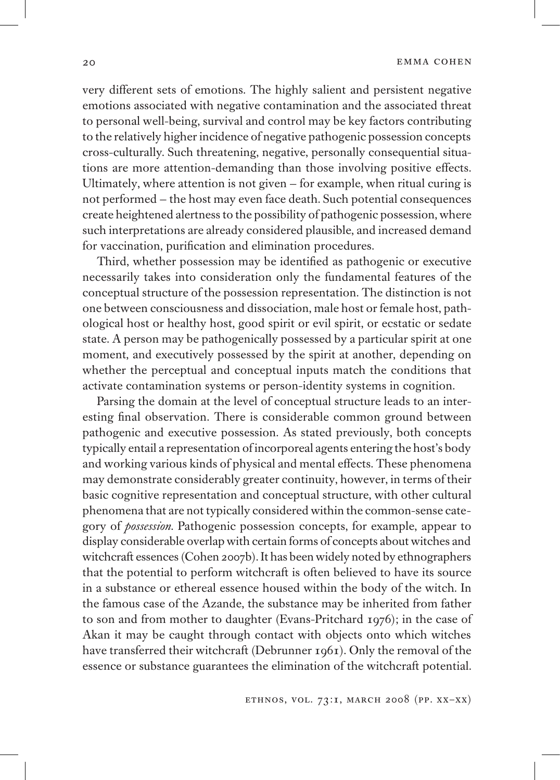very different sets of emotions. The highly salient and persistent negative emotions associated with negative contamination and the associated threat to personal well-being, survival and control may be key factors contributing to the relatively higher incidence of negative pathogenic possession concepts cross-culturally. Such threatening, negative, personally consequential situations are more attention-demanding than those involving positive effects. Ultimately, where attention is not given — for example, when ritual curing is not performed — the host may even face death. Such potential consequences create heightened alertness to the possibility of pathogenic possession, where such interpretations are already considered plausible, and increased demand for vaccination, purification and elimination procedures.

Third, whether possession may be identified as pathogenic or executive necessarily takes into consideration only the fundamental features of the conceptual structure of the possession representation. The distinction is not one between consciousness and dissociation, male host or female host, pathological host or healthy host, good spirit or evil spirit, or ecstatic or sedate state. A person may be pathogenically possessed by a particular spirit at one moment, and executively possessed by the spirit at another, depending on whether the perceptual and conceptual inputs match the conditions that activate contamination systems or person-identity systems in cognition.

Parsing the domain at the level of conceptual structure leads to an interesting final observation. There is considerable common ground between pathogenic and executive possession. As stated previously, both concepts typically entail a representation of incorporeal agents entering the host's body and working various kinds of physical and mental effects. These phenomena may demonstrate considerably greater continuity, however, in terms of their basic cognitive representation and conceptual structure, with other cultural phenomena that are not typically considered within the common-sense category of *possession*. Pathogenic possession concepts, for example, appear to display considerable overlap with certain forms of concepts about witches and witchcraft essences (Cohen 2007b). It has been widely noted by ethnographers that the potential to perform witchcraft is often believed to have its source in a substance or ethereal essence housed within the body of the witch. In the famous case of the Azande, the substance may be inherited from father to son and from mother to daughter (Evans-Pritchard 1976); in the case of Akan it may be caught through contact with objects onto which witches have transferred their witchcraft (Debrunner 1961). Only the removal of the essence or substance guarantees the elimination of the witchcraft potential.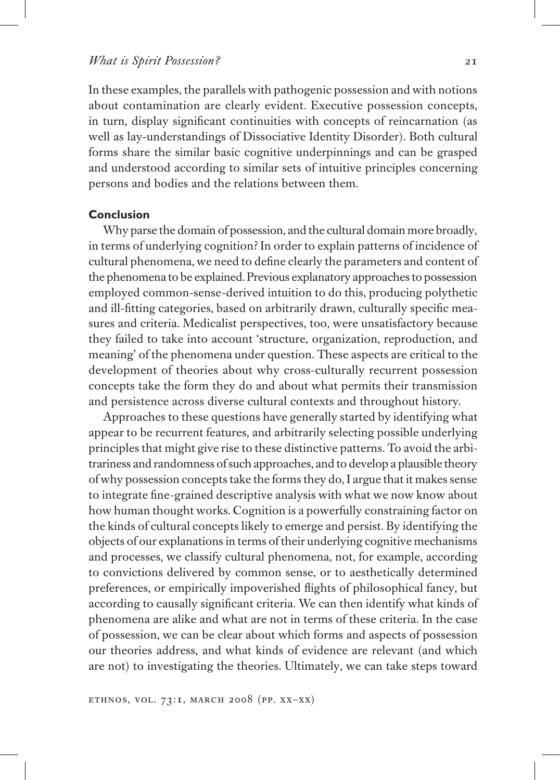In these examples, the parallels with pathogenic possession and with notions about contamination are clearly evident. Executive possession concepts, in turn, display significant continuities with concepts of reincarnation (as well as lay-understandings of Dissociative Identity Disorder). Both cultural forms share the similar basic cognitive underpinnings and can be grasped and understood according to similar sets of intuitive principles concerning persons and bodies and the relations between them.

# **Conclusion**

Why parse the domain of possession, and the cultural domain more broadly, in terms of underlying cognition? In order to explain patterns of incidence of cultural phenomena, we need to define clearly the parameters and content of the phenomena to be explained. Previous explanatory approaches to possession employed common-sense-derived intuition to do this, producing polythetic and ill-fitting categories, based on arbitrarily drawn, culturally specific measures and criteria. Medicalist perspectives, too, were unsatisfactory because they failed to take into account 'structure, organization, reproduction, and meaning' of the phenomena under question. These aspects are critical to the development of theories about why cross-culturally recurrent possession concepts take the form they do and about what permits their transmission and persistence across diverse cultural contexts and throughout history.

Approaches to these questions have generally started by identifying what appear to be recurrent features, and arbitrarily selecting possible underlying principles that might give rise to these distinctive patterns. To avoid the arbitrariness and randomness of such approaches, and to develop a plausible theory of why possession concepts take the forms they do, I argue that it makes sense to integrate fine-grained descriptive analysis with what we now know about how human thought works. Cognition is a powerfully constraining factor on the kinds of cultural concepts likely to emerge and persist. By identifying the objects of our explanations in terms of their underlying cognitive mechanisms and processes, we classify cultural phenomena, not, for example, according to convictions delivered by common sense, or to aesthetically determined preferences, or empirically impoverished flights of philosophical fancy, but according to causally significant criteria. We can then identify what kinds of phenomena are alike and what are not in terms of these criteria. In the case of possession, we can be clear about which forms and aspects of possession our theories address, and what kinds of evidence are relevant (and which are not) to investigating the theories. Ultimately, we can take steps toward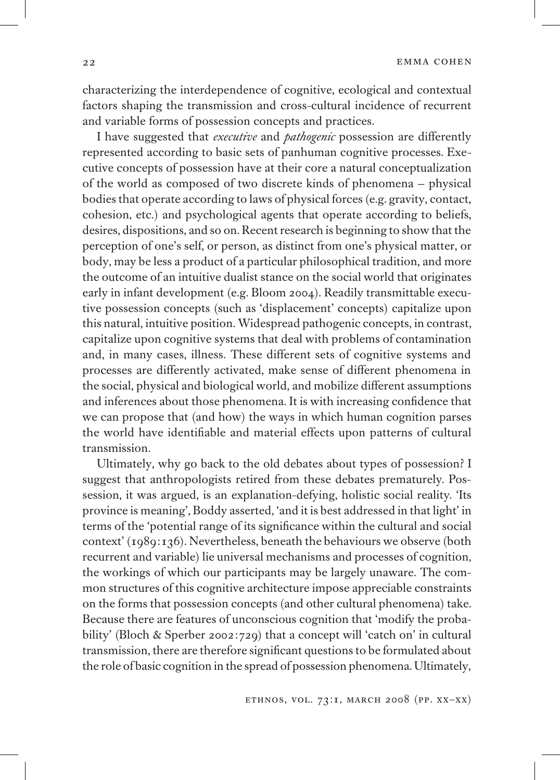characterizing the interdependence of cognitive, ecological and contextual factors shaping the transmission and cross-cultural incidence of recurrent and variable forms of possession concepts and practices.

I have suggested that *executive* and *pathogenic* possession are differently represented according to basic sets of panhuman cognitive processes. Executive concepts of possession have at their core a natural conceptualization of the world as composed of two discrete kinds of phenomena — physical bodies that operate according to laws of physical forces (e.g. gravity, contact, cohesion, etc.) and psychological agents that operate according to beliefs, desires, dispositions, and so on. Recent research is beginning to show that the perception of one's self, or person, as distinct from one's physical matter, or body, may be less a product of a particular philosophical tradition, and more the outcome of an intuitive dualist stance on the social world that originates early in infant development (e.g. Bloom 2004). Readily transmittable executive possession concepts (such as 'displacement' concepts) capitalize upon this natural, intuitive position. Widespread pathogenic concepts, in contrast, capitalize upon cognitive systems that deal with problems of contamination and, in many cases, illness. These different sets of cognitive systems and processes are differently activated, make sense of different phenomena in the social, physical and biological world, and mobilize different assumptions and inferences about those phenomena. It is with increasing confidence that we can propose that (and how) the ways in which human cognition parses the world have identifiable and material effects upon patterns of cultural transmission.

Ultimately, why go back to the old debates about types of possession? I suggest that anthropologists retired from these debates prematurely. Possession, it was argued, is an explanation-defying, holistic social reality. 'Its province is meaning', Boddy asserted, 'and it is best addressed in that light' in terms of the 'potential range of its significance within the cultural and social context' ( $1989:136$ ). Nevertheless, beneath the behaviours we observe (both recurrent and variable) lie universal mechanisms and processes of cognition, the workings of which our participants may be largely unaware. The common structures of this cognitive architecture impose appreciable constraints on the forms that possession concepts (and other cultural phenomena) take. Because there are features of unconscious cognition that 'modify the probability' (Bloch & Sperber 2002:729) that a concept will 'catch on' in cultural transmission, there are therefore significant questions to be formulated about the role of basic cognition in the spread of possession phenomena. Ultimately,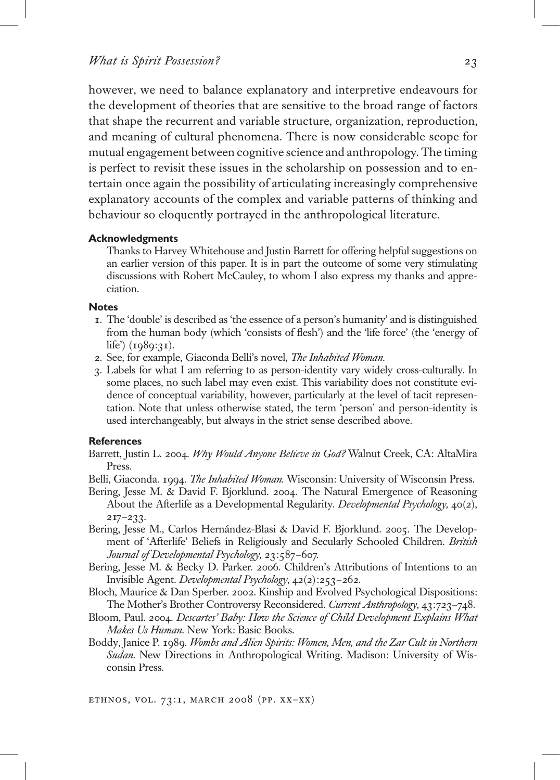however, we need to balance explanatory and interpretive endeavours for the development of theories that are sensitive to the broad range of factors that shape the recurrent and variable structure, organization, reproduction, and meaning of cultural phenomena. There is now considerable scope for mutual engagement between cognitive science and anthropology. The timing is perfect to revisit these issues in the scholarship on possession and to entertain once again the possibility of articulating increasingly comprehensive explanatory accounts of the complex and variable patterns of thinking and behaviour so eloquently portrayed in the anthropological literature.

#### **Acknowledgments**

 Thanks to Harvey Whitehouse and Justin Barrett for offering helpful suggestions on an earlier version of this paper. It is in part the outcome of some very stimulating discussions with Robert McCauley, to whom I also express my thanks and appreciation.

#### **Notes**

- 1. The 'double' is described as 'the essence of a person's humanity' and is distinguished from the human body (which 'consists of flesh') and the 'life force' (the 'energy of life')  $(1989:31)$ .
- 2. See, for example, Giaconda Belli's novel, *The Inhabited Woman*.
- 3. Labels for what I am referring to as person-identity vary widely cross-culturally. In some places, no such label may even exist. This variability does not constitute evidence of conceptual variability, however, particularly at the level of tacit representation. Note that unless otherwise stated, the term 'person' and person-identity is used interchangeably, but always in the strict sense described above.

#### **References**

- Barrett, Justin L. 2004. *Why Would Anyone Believe in God?* Walnut Creek, CA: AltaMira Press.
- Belli, Giaconda. 1994. *The Inhabited Woman.* Wisconsin: University of Wisconsin Press.
- Bering, Jesse M. & David F. Bjorklund. 2004. The Natural Emergence of Reasoning About the Afterlife as a Developmental Regularity. *Developmental Psychology,* 40(2),  $217 - 233$ .
- Bering, Jesse M., Carlos Hernández-Blasi & David F. Bjorklund. 2005. The Development of 'Afterlife' Beliefs in Religiously and Secularly Schooled Children. *British Journal of Developmental Psychology,* 23 : 587 – 607.
- Bering, Jesse M. & Becky D. Parker. 2006. Children's Attributions of Intentions to an Invisible Agent. *Developmental Psychology* , 42(2) : 253 – 262.
- Bloch, Maurice & Dan Sperber. 2002. Kinship and Evolved Psychological Dispositions: The Mother's Brother Controversy Reconsidered. *Current Anthropology*, 43:723–748.
- Bloom, Paul. 2004. *Descartes' Baby: How the Science of Child Development Explains What Makes Us Human*. New York: Basic Books.
- Boddy, Janice P. 1989. *Wombs and Alien Spirits: Women, Men, and the Zar Cult in Northern Sudan.* New Directions in Anthropological Writing. Madison: University of Wisconsin Press.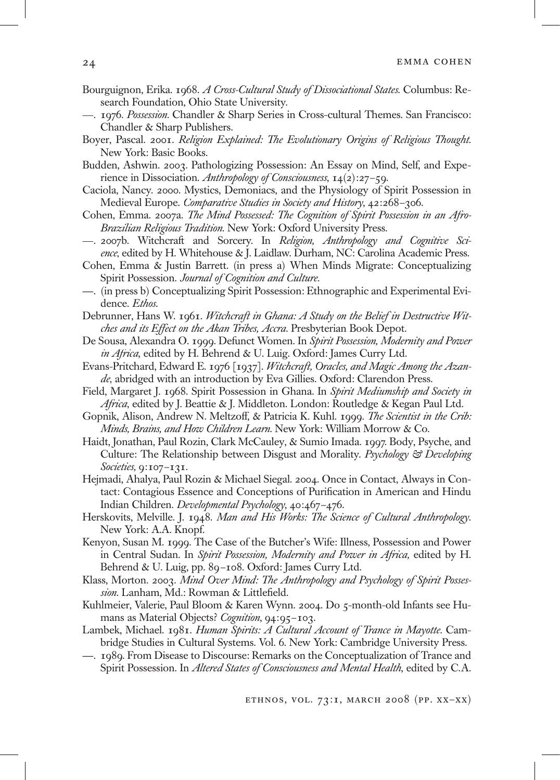- Bourguignon, Erika. 1968. *A Cross-Cultural Study of Dissociational States.* Columbus: Research Foundation, Ohio State University.
- —. 1976. *Possession.* Chandler & Sharp Series in Cross-cultural Themes. San Francisco: Chandler & Sharp Publishers.
- Boyer, Pascal. 2001. *Religion Explained: The Evolutionary Origins of Religious Thought.*  New York: Basic Books.
- Budden, Ashwin. 2003. Pathologizing Possession: An Essay on Mind, Self, and Experience in Dissociation. *Anthropology of Consciousness*, 14(2):27-59.
- Caciola, Nancy. 2000. Mystics, Demoniacs, and the Physiology of Spirit Possession in Medieval Europe. *Comparative Studies in Society and History* , 42 : 268 –306.
- Cohen, Emma. 2007a. *The Mind Possessed: The Cognition of Spirit Possession in an Afro-Brazilian Religious Tradition*. New York: Oxford University Press.
- —. 2007b. Witchcraft and Sorcery. In *Religion, Anthropology and Cognitive Science*, edited by H. Whitehouse & J. Laidlaw. Durham, NC: Carolina Academic Press.
- Cohen, Emma & Justin Barrett. (in press a) When Minds Migrate: Conceptualizing Spirit Possession. *Journal of Cognition and Culture*.
- —. (in press b) Conceptualizing Spirit Possession: Ethnographic and Experimental Evidence. *Ethos*.
- Debrunner, Hans W. 1961. *Witchcraft in Ghana: A Study on the Belief in Destructive Witches and its Effect on the Akan Tribes, Accra*. Presbyterian Book Depot.
- De Sousa, Alexandra O. 1999. Defunct Women. In *Spirit Possession, Modernity and Power in Africa*, edited by H. Behrend & U. Luig. Oxford: James Curry Ltd.
- Evans-Pritchard, Edward E. 1976 [1937]. *Witchcraft, Oracles, and Magic Among the Azan*de, abridged with an introduction by Eva Gillies. Oxford: Clarendon Press.
- Field, Margaret J. 1968. Spirit Possession in Ghana. In *Spirit Mediumship and Society in Africa*, edited by J. Beattie & J. Middleton. London: Routledge & Kegan Paul Ltd.
- Gopnik, Alison, Andrew N. Meltzoff, & Patricia K. Kuhl. 1999. *The Scientist in the Crib: Minds, Brains, and How Children Learn*. New York: William Morrow & Co.
- Haidt, Jonathan, Paul Rozin, Clark McCauley, & Sumio Imada. 1997. Body, Psyche, and Culture: The Relationship between Disgust and Morality. *Psychology & Developing Societies*, 9:107-131.
- Hejmadi, Ahalya, Paul Rozin & Michael Siegal. 2004. Once in Contact, Always in Contact: Contagious Essence and Conceptions of Purification in American and Hindu Indian Children. *Developmental Psychology* , 40 : 467 –476.
- Herskovits, Melville. J. 1948. *Man and His Works: The Science of Cultural Anthropology*. New York: A.A. Knopf.
- Kenyon, Susan M. 1999. The Case of the Butcher's Wife: Illness, Possession and Power in Central Sudan. In *Spirit Possession, Modernity and Power in Africa,* edited by H. Behrend & U. Luig, pp. 89-108. Oxford: James Curry Ltd.
- Klass, Morton. 2003. *Mind Over Mind: The Anthropology and Psychology of Spirit Posses*sion. Lanham, Md.: Rowman & Littlefield.
- Kuhlmeier, Valerie, Paul Bloom & Karen Wynn. 2004. Do 5-month-old Infants see Humans as Material Objects? *Cognition*, 94:95-103.
- Lambek, Michael. 1981. *Human Spirits: A Cultural Account of Trance in Mayotte.* Cambridge Studies in Cultural Systems. Vol. 6. New York: Cambridge University Press.
- —. 1989. From Disease to Discourse: Remarks on the Conceptualization of Trance and Spirit Possession. In *Altered States of Consciousness and Mental Health*, edited by C. A.